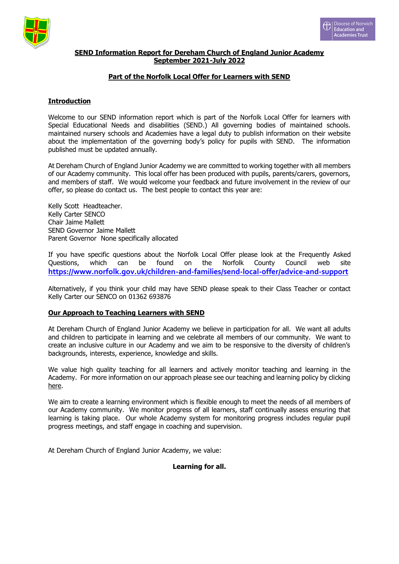



# **SEND Information Report for Dereham Church of England Junior Academy September 2021-July 2022**

# **Part of the Norfolk Local Offer for Learners with SEND**

# **Introduction**

Welcome to our SEND information report which is part of the Norfolk Local Offer for learners with Special Educational Needs and disabilities (SEND.) All governing bodies of maintained schools. maintained nursery schools and Academies have a legal duty to publish information on their website about the implementation of the governing body's policy for pupils with SEND. The information published must be updated annually.

At Dereham Church of England Junior Academy we are committed to working together with all members of our Academy community. This local offer has been produced with pupils, parents/carers, governors, and members of staff. We would welcome your feedback and future involvement in the review of our offer, so please do contact us. The best people to contact this year are:

Kelly Scott Headteacher. Kelly Carter SENCO Chair Jaime Mallett SEND Governor Jaime Mallett Parent Governor None specifically allocated

If you have specific questions about the Norfolk Local Offer please look at the Frequently Asked Questions, which can be found on the Norfolk County Council web site **<https://www.norfolk.gov.uk/children-and-families/send-local-offer/advice-and-support>**

Alternatively, if you think your child may have SEND please speak to their Class Teacher or contact Kelly Carter our SENCO on 01362 693876

## **Our Approach to Teaching Learners with SEND**

At Dereham Church of England Junior Academy we believe in participation for all. We want all adults and children to participate in learning and we celebrate all members of our community. We want to create an inclusive culture in our Academy and we aim to be responsive to the diversity of children's backgrounds, interests, experience, knowledge and skills.

We value high quality teaching for all learners and actively monitor teaching and learning in the Academy. For more information on our approach please see our teaching and learning policy by clicking here.

We aim to create a learning environment which is flexible enough to meet the needs of all members of our Academy community. We monitor progress of all learners, staff continually assess ensuring that learning is taking place. Our whole Academy system for monitoring progress includes regular pupil progress meetings, and staff engage in coaching and supervision.

At Dereham Church of England Junior Academy, we value:

## **Learning for all.**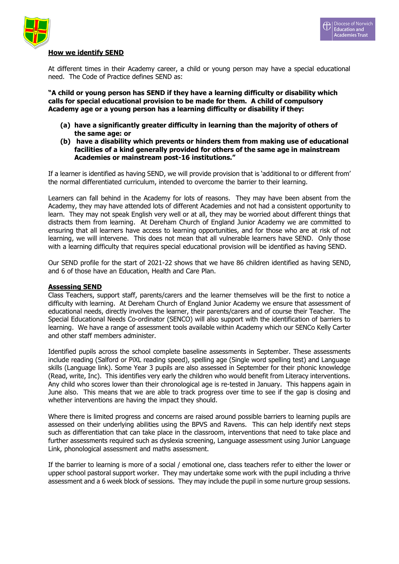



### **How we identify SEND**

At different times in their Academy career, a child or young person may have a special educational need. The Code of Practice defines SEND as:

**"A child or young person has SEND if they have a learning difficulty or disability which calls for special educational provision to be made for them. A child of compulsory Academy age or a young person has a learning difficulty or disability if they:**

- **(a) have a significantly greater difficulty in learning than the majority of others of the same age: or**
- **(b) have a disability which prevents or hinders them from making use of educational facilities of a kind generally provided for others of the same age in mainstream Academies or mainstream post-16 institutions."**

If a learner is identified as having SEND, we will provide provision that is 'additional to or different from' the normal differentiated curriculum, intended to overcome the barrier to their learning.

Learners can fall behind in the Academy for lots of reasons. They may have been absent from the Academy, they may have attended lots of different Academies and not had a consistent opportunity to learn. They may not speak English very well or at all, they may be worried about different things that distracts them from learning. At Dereham Church of England Junior Academy we are committed to ensuring that all learners have access to learning opportunities, and for those who are at risk of not learning, we will intervene. This does not mean that all vulnerable learners have SEND. Only those with a learning difficulty that requires special educational provision will be identified as having SEND.

Our SEND profile for the start of 2021-22 shows that we have 86 children identified as having SEND, and 6 of those have an Education, Health and Care Plan.

### **Assessing SEND**

Class Teachers, support staff, parents/carers and the learner themselves will be the first to notice a difficulty with learning. At Dereham Church of England Junior Academy we ensure that assessment of educational needs, directly involves the learner, their parents/carers and of course their Teacher. The Special Educational Needs Co-ordinator (SENCO) will also support with the identification of barriers to learning. We have a range of assessment tools available within Academy which our SENCo Kelly Carter and other staff members administer.

Identified pupils across the school complete baseline assessments in September. These assessments include reading (Salford or PiXL reading speed), spelling age (Single word spelling test) and Language skills (Language link). Some Year 3 pupils are also assessed in September for their phonic knowledge (Read, write, Inc). This identifies very early the children who would benefit from Literacy interventions. Any child who scores lower than their chronological age is re-tested in January. This happens again in June also. This means that we are able to track progress over time to see if the gap is closing and whether interventions are having the impact they should.

Where there is limited progress and concerns are raised around possible barriers to learning pupils are assessed on their underlying abilities using the BPVS and Ravens. This can help identify next steps such as differentiation that can take place in the classroom, interventions that need to take place and further assessments required such as dyslexia screening, Language assessment using Junior Language Link, phonological assessment and maths assessment.

If the barrier to learning is more of a social / emotional one, class teachers refer to either the lower or upper school pastoral support worker. They may undertake some work with the pupil including a thrive assessment and a 6 week block of sessions. They may include the pupil in some nurture group sessions.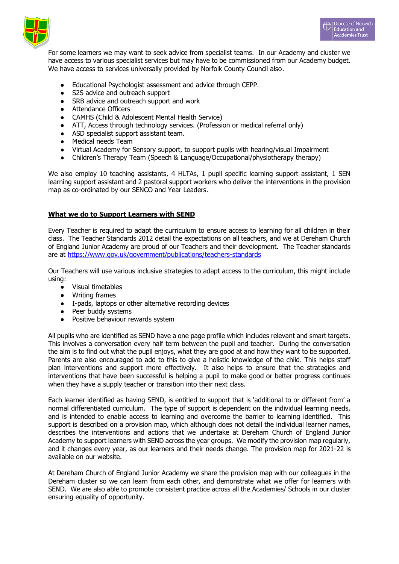



For some learners we may want to seek advice from specialist teams. In our Academy and cluster we have access to various specialist services but may have to be commissioned from our Academy budget. We have access to services universally provided by Norfolk County Council also.

- Educational Psychologist assessment and advice through CEPP.
- S2S advice and outreach support
- SRB advice and outreach support and work
- Attendance Officers
- CAMHS (Child & Adolescent Mental Health Service)
- ATT, Access through technology services. (Profession or medical referral only)
- ASD specialist support assistant team.
- Medical needs Team
- Virtual Academy for Sensory support, to support pupils with hearing/visual Impairment
- Children's Therapy Team (Speech & Language/Occupational/physiotherapy therapy)

We also employ 10 teaching assistants, 4 HLTAs, 1 pupil specific learning support assistant, 1 SEN learning support assistant and 2 pastoral support workers who deliver the interventions in the provision map as co-ordinated by our SENCO and Year Leaders.

# **What we do to Support Learners with SEND**

Every Teacher is required to adapt the curriculum to ensure access to learning for all children in their class. The Teacher Standards 2012 detail the expectations on all teachers, and we at Dereham Church of England Junior Academy are proud of our Teachers and their development. The Teacher standards are at<https://www.gov.uk/government/publications/teachers-standards>

Our Teachers will use various inclusive strategies to adapt access to the curriculum, this might include using:

- Visual timetables
- Writing frames
- I-pads, laptops or other alternative recording devices<br>• Peer buddy systems
- Peer buddy systems
- Positive behaviour rewards system

All pupils who are identified as SEND have a one page profile which includes relevant and smart targets. This involves a conversation every half term between the pupil and teacher. During the conversation the aim is to find out what the pupil enjoys, what they are good at and how they want to be supported. Parents are also encouraged to add to this to give a holistic knowledge of the child. This helps staff plan interventions and support more effectively. It also helps to ensure that the strategies and interventions that have been successful is helping a pupil to make good or better progress continues when they have a supply teacher or transition into their next class.

Each learner identified as having SEND, is entitled to support that is 'additional to or different from' a normal differentiated curriculum. The type of support is dependent on the individual learning needs, and is intended to enable access to learning and overcome the barrier to learning identified. This support is described on a provision map, which although does not detail the individual learner names, describes the interventions and actions that we undertake at Dereham Church of England Junior Academy to support learners with SEND across the year groups. We modify the provision map regularly, and it changes every year, as our learners and their needs change. The provision map for 2021-22 is available on our website.

At Dereham Church of England Junior Academy we share the provision map with our colleagues in the Dereham cluster so we can learn from each other, and demonstrate what we offer for learners with SEND. We are also able to promote consistent practice across all the Academies/ Schools in our cluster ensuring equality of opportunity.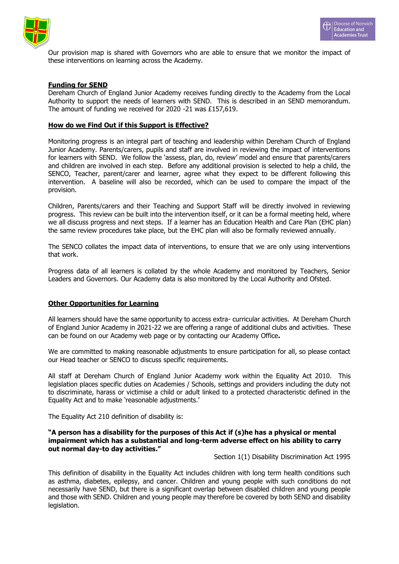



Our provision map is shared with Governors who are able to ensure that we monitor the impact of these interventions on learning across the Academy.

### **Funding for SEND**

Dereham Church of England Junior Academy receives funding directly to the Academy from the Local Authority to support the needs of learners with SEND. This is described in an SEND memorandum. The amount of funding we received for 2020 -21 was £157,619.

## **How do we Find Out if this Support is Effective?**

Monitoring progress is an integral part of teaching and leadership within Dereham Church of England Junior Academy. Parents/carers, pupils and staff are involved in reviewing the impact of interventions for learners with SEND. We follow the 'assess, plan, do, review' model and ensure that parents/carers and children are involved in each step. Before any additional provision is selected to help a child, the SENCO, Teacher, parent/carer and learner, agree what they expect to be different following this intervention. A baseline will also be recorded, which can be used to compare the impact of the provision.

Children, Parents/carers and their Teaching and Support Staff will be directly involved in reviewing progress. This review can be built into the intervention itself, or it can be a formal meeting held, where we all discuss progress and next steps. If a learner has an Education Health and Care Plan (EHC plan) the same review procedures take place, but the EHC plan will also be formally reviewed annually.

The SENCO collates the impact data of interventions, to ensure that we are only using interventions that work.

Progress data of all learners is collated by the whole Academy and monitored by Teachers, Senior Leaders and Governors. Our Academy data is also monitored by the Local Authority and Ofsted.

### **Other Opportunities for Learning**

All learners should have the same opportunity to access extra- curricular activities. At Dereham Church of England Junior Academy in 2021-22 we are offering a range of additional clubs and activities. These can be found on our Academy web page or by contacting our Academy Office**.**

We are committed to making reasonable adjustments to ensure participation for all, so please contact our Head teacher or SENCO to discuss specific requirements.

All staff at Dereham Church of England Junior Academy work within the Equality Act 2010. This legislation places specific duties on Academies / Schools, settings and providers including the duty not to discriminate, harass or victimise a child or adult linked to a protected characteristic defined in the Equality Act and to make 'reasonable adjustments.'

The Equality Act 210 definition of disability is:

## **"A person has a disability for the purposes of this Act if (s)he has a physical or mental impairment which has a substantial and long-term adverse effect on his ability to carry out normal day-to day activities."**

Section 1(1) Disability Discrimination Act 1995

This definition of disability in the Equality Act includes children with long term health conditions such as asthma, diabetes, epilepsy, and cancer. Children and young people with such conditions do not necessarily have SEND, but there is a significant overlap between disabled children and young people and those with SEND. Children and young people may therefore be covered by both SEND and disability legislation.